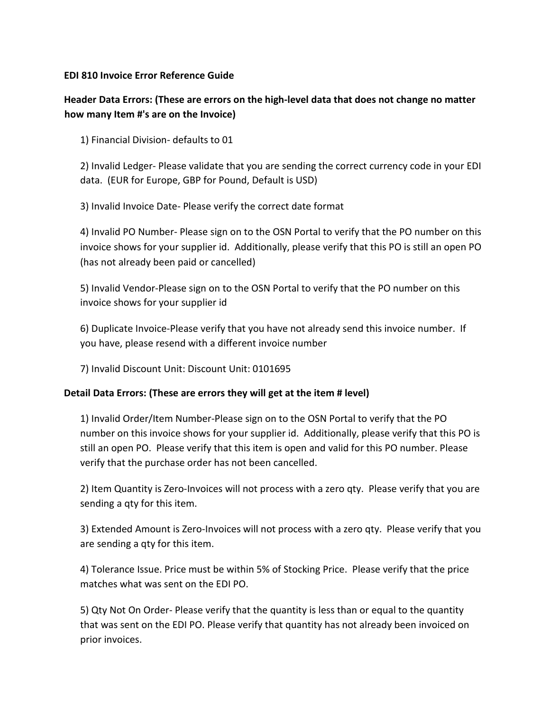## **EDI 810 Invoice Error Reference Guide**

## **Header Data Errors: (These are errors on the high-level data that does not change no matter how many Item #'s are on the Invoice)**

1) Financial Division- defaults to 01

2) Invalid Ledger- Please validate that you are sending the correct currency code in your EDI data. (EUR for Europe, GBP for Pound, Default is USD)

3) Invalid Invoice Date- Please verify the correct date format

4) Invalid PO Number- Please sign on to the OSN Portal to verify that the PO number on this invoice shows for your supplier id. Additionally, please verify that this PO is still an open PO (has not already been paid or cancelled)

5) Invalid Vendor-Please sign on to the OSN Portal to verify that the PO number on this invoice shows for your supplier id

6) Duplicate Invoice-Please verify that you have not already send this invoice number. If you have, please resend with a different invoice number

7) Invalid Discount Unit: Discount Unit: 0101695

## **Detail Data Errors: (These are errors they will get at the item # level)**

1) Invalid Order/Item Number-Please sign on to the OSN Portal to verify that the PO number on this invoice shows for your supplier id. Additionally, please verify that this PO is still an open PO. Please verify that this item is open and valid for this PO number. Please verify that the purchase order has not been cancelled.

2) Item Quantity is Zero-Invoices will not process with a zero qty. Please verify that you are sending a qty for this item.

3) Extended Amount is Zero-Invoices will not process with a zero qty. Please verify that you are sending a qty for this item.

4) Tolerance Issue. Price must be within 5% of Stocking Price. Please verify that the price matches what was sent on the EDI PO.

5) Qty Not On Order- Please verify that the quantity is less than or equal to the quantity that was sent on the EDI PO. Please verify that quantity has not already been invoiced on prior invoices.